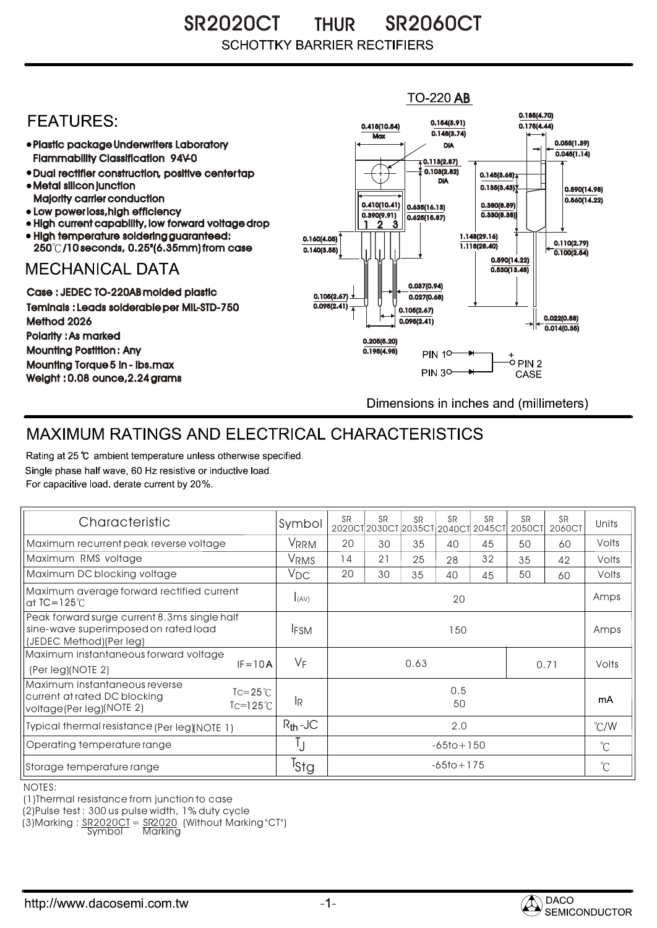SR2020CT THUR SR2060CT THUR **SCHOTTKY BARRIER RECTIFIERS** 

## $TO-220$  AB 0.185(4.70) **FFATURFS:** 0.154(3.91) 0.415(10.54) 0.175(4.44)  $0.148(3.74)$ **Max** Plastic package Underwriters Laboratory 0.055(1.39) DIA  $0.045(1.14)$ Flammability Classification 94V-0  $\overline{4}$  0.113(2.87) 0.103(2.82) Dual rectifier construction, positive center tap 0.145(3.68) DIA Metal silicon junction  $0.135(3.43)$ 0.590(14.98) Majority carrier conduction  $0.560(14.22)$ 0.410(10.41) 0.380(8.89) 0.635(16.13) • Low power loss, high efficiency 0.330(8.38)) 0.390(9.91)  $0.625(15.87)$ High current capability, low forward voltage drop 1 3 2High temperature soldering guaranteed: 1.148(29.16) 0.160(4.05) 0.110(2.79) 250 /10 seconds, 0.25"(6.35mm) from case 1.118(28.40) 0.140(3.55)  $\overline{0.100(2.54)}$ 0.590(14.22) **MECHANICAL DATA**  $0.530(13.48)$ 0.037(0.94) Case : JEDEC TO-220AB molded plastic 0.105(2.67)  $0.027(0.68)$ Teminals : Leads solderable per MIL-STD-750  $0.095(2.41)$ 0.105(2.67) 0.022(0.58) Method 2026  $0.095(2.41)$  $0.014(0.35)$ Polarity : As marked 0.205(5.20) Mounting Postition : Any 0.195(4.95) **PIN 10-**+<br>-0 PIN 2 Mounting Torque 5 in - lbs.max **PIN 30-**CASE Weight : 0.08 ounce,2.24 grams Dimensions in inches and (millimeters)

## MAXIMUM RATINGS AND ELECTRICAL CHARACTERISTICS

Rating at 25 °C ambient temperature unless otherwise specified. Single phase half wave, 60 Hz resistive or inductive load. For capacitive load, derate current by 20%.

| Characteristic                                                                                                                      | Symbol           | <b>SR</b>      | <b>SR</b> | <b>SR</b> | <b>SR</b> | <b>SR</b><br>2020CT2030CT2035CT2040CT2045CT | <b>SR</b><br>2050CT | <b>SR</b><br>2060CT | Units |
|-------------------------------------------------------------------------------------------------------------------------------------|------------------|----------------|-----------|-----------|-----------|---------------------------------------------|---------------------|---------------------|-------|
| Maximum recurrent peak reverse voltage                                                                                              | VRRM             | 20             | 30        | 35        | 40        | 45                                          | 50                  | 60                  | Volts |
| Maximum RMS voltage                                                                                                                 | VRMS             | 14             | 21        | 25        | 28        | 32                                          | 35                  | 42                  | Volts |
| Maximum DC blocking voltage                                                                                                         | $V_{DC}$         | 20             | 30        | 35        | 40        | 45                                          | 50                  | 60                  | Volts |
| Maximum average forward rectified current<br>at $IC = 125^\circ C$                                                                  | I(AV)            | 20             |           |           |           |                                             |                     |                     | Amps  |
| Peak forward surge current 8.3ms single half<br>sine-wave superimposed on rated load<br>(JEDEC Method)(Per leg)                     | <b>IFSM</b>      | 150            |           |           |           |                                             |                     |                     | Amps  |
| Maximum instantaneous forward voltage<br>$IF = 10A$<br>(Per leg)(NOTE 2)                                                            | $V_F$            | 0.63<br>0.71   |           |           |           |                                             |                     | Volts               |       |
| Maximum instantaneous reverse<br>$T = 25^{\circ}$<br>current at rated DC blocking<br>$Tc=125^{\circ}$ C<br>voltage(Per leg)(NOTE 2) | lR.              | 0.5<br>50      |           |           |           |                                             |                     | mA                  |       |
| Typical thermal resistance (Per leg)(NOTE 1)                                                                                        | $R_{th}$ -JC     | 2.0            |           |           |           |                                             | $\degree$ C/W       |                     |       |
| Operating temperature range                                                                                                         | IJ               | $-65$ to + 150 |           |           |           |                                             | $^{\circ}$ C        |                     |       |
| Storage temperature range                                                                                                           | <sup>I</sup> stg | $-65$ to + 175 |           |           |           |                                             |                     | $^{\circ}$ C        |       |

NOTES:

(1)Thermal resistance from junction to case

(2)Pulse test : 300 us pulse width, 1% duty cycle

(3)Marking : <u>SR2020CT</u> = <u>SR2020</u> (Without Marking "CT") R

Symbol Marking